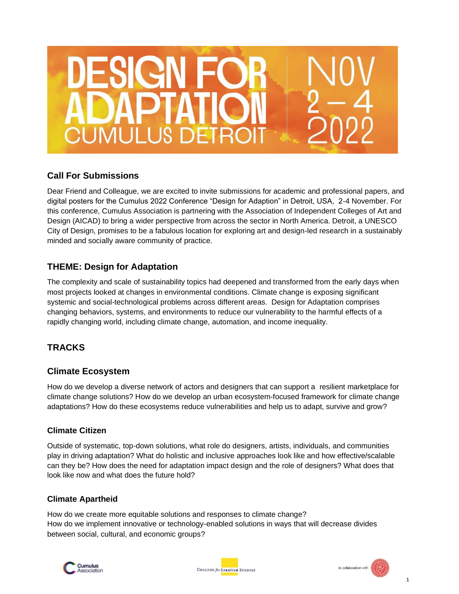# $\mathbf{P}$ UMULUS DETR

# **Call For Submissions**

Dear Friend and Colleague, we are excited to invite submissions for academic and professional papers, and digital posters for the Cumulus 2022 Conference "Design for Adaption" in Detroit, USA, 2-4 November. For this conference, Cumulus Association is partnering with the Association of Independent Colleges of Art and Design (AICAD) to bring a wider perspective from across the sector in North America. Detroit, a UNESCO City of Design, promises to be a fabulous location for exploring art and design-led research in a sustainably minded and socially aware community of practice.

# **THEME: Design for Adaptation**

The complexity and scale of sustainability topics had deepened and transformed from the early days when most projects looked at changes in environmental conditions. Climate change is exposing significant systemic and social-technological problems across different areas. Design for Adaptation comprises changing behaviors, systems, and environments to reduce our vulnerability to the harmful effects of a rapidly changing world, including climate change, automation, and income inequality.

# **TRACKS**

# **Climate Ecosystem**

How do we develop a diverse network of actors and designers that can support a resilient marketplace for climate change solutions? How do we develop an urban ecosystem-focused framework for climate change adaptations? How do these ecosystems reduce vulnerabilities and help us to adapt, survive and grow?

# **Climate Citizen**

Outside of systematic, top-down solutions, what role do designers, artists, individuals, and communities play in driving adaptation? What do holistic and inclusive approaches look like and how effective/scalable can they be? How does the need for adaptation impact design and the role of designers? What does that look like now and what does the future hold?

# **Climate Apartheid**

How do we create more equitable solutions and responses to climate change? How do we implement innovative or technology-enabled solutions in ways that will decrease divides between social, cultural, and economic groups?





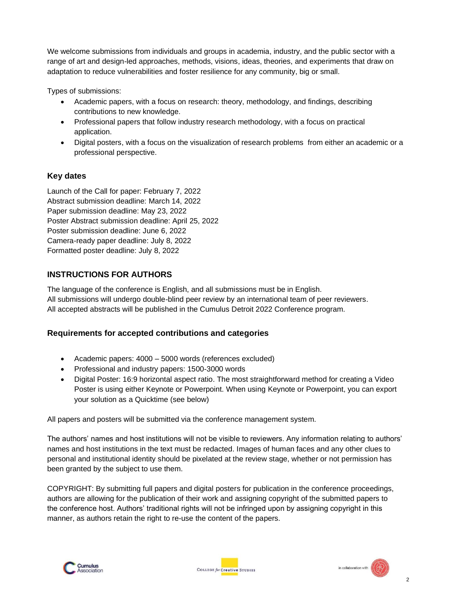We welcome submissions from individuals and groups in academia, industry, and the public sector with a range of art and design-led approaches, methods, visions, ideas, theories, and experiments that draw on adaptation to reduce vulnerabilities and foster resilience for any community, big or small.

Types of submissions:

- Academic papers, with a focus on research: theory, methodology, and findings, describing contributions to new knowledge.
- Professional papers that follow industry research methodology, with a focus on practical application.
- Digital posters, with a focus on the visualization of research problems from either an academic or a professional perspective.

# **Key dates**

Launch of the Call for paper: February 7, 2022 Abstract submission deadline: March 14, 2022 Paper submission deadline: May 23, 2022 Poster Abstract submission deadline: April 25, 2022 Poster submission deadline: June 6, 2022 Camera-ready paper deadline: July 8, 2022 Formatted poster deadline: July 8, 2022

# **INSTRUCTIONS FOR AUTHORS**

The language of the conference is English, and all submissions must be in English. All submissions will undergo double-blind peer review by an international team of peer reviewers. All accepted abstracts will be published in the Cumulus Detroit 2022 Conference program.

# **Requirements for accepted contributions and categories**

- Academic papers: 4000 5000 words (references excluded)
- Professional and industry papers: 1500-3000 words
- Digital Poster: 16:9 horizontal aspect ratio. The most straightforward method for creating a Video Poster is using either Keynote or Powerpoint. When using Keynote or Powerpoint, you can export your solution as a Quicktime (see below)

All papers and posters will be submitted via the conference management system.

The authors' names and host institutions will not be visible to reviewers. Any information relating to authors' names and host institutions in the text must be redacted. Images of human faces and any other clues to personal and institutional identity should be pixelated at the review stage, whether or not permission has been granted by the subject to use them.

COPYRIGHT: By submitting full papers and digital posters for publication in the conference proceedings, authors are allowing for the publication of their work and assigning copyright of the submitted papers to the conference host. Authors' traditional rights will not be infringed upon by assigning copyright in this manner, as authors retain the right to re-use the content of the papers.



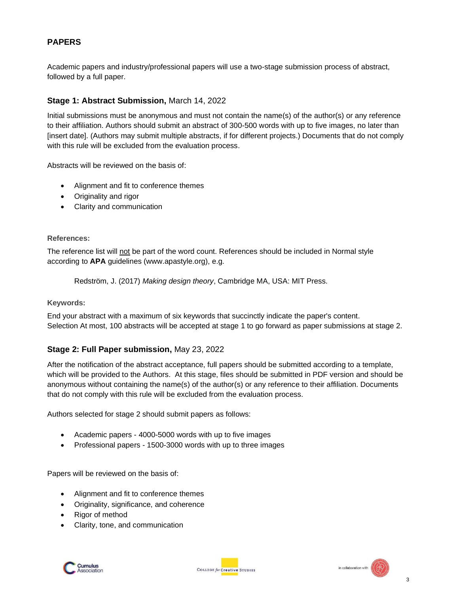## **PAPERS**

Academic papers and industry/professional papers will use a two-stage submission process of abstract, followed by a full paper.

## **Stage 1: Abstract Submission,** March 14, 2022

Initial submissions must be anonymous and must not contain the name(s) of the author(s) or any reference to their affiliation. Authors should submit an abstract of 300-500 words with up to five images, no later than [insert date]. (Authors may submit multiple abstracts, if for different projects.) Documents that do not comply with this rule will be excluded from the evaluation process.

Abstracts will be reviewed on the basis of:

- Alignment and fit to conference themes
- Originality and rigor
- Clarity and communication

#### **References:**

The reference list will not be part of the word count. References should be included in Normal style according to **APA** guidelines (www.apastyle.org), e.g.

Redström, J. (2017) *Making design theory*, Cambridge MA, USA: MIT Press.

#### **Keywords:**

End your abstract with a maximum of six keywords that succinctly indicate the paper's content. Selection At most, 100 abstracts will be accepted at stage 1 to go forward as paper submissions at stage 2.

#### **Stage 2: Full Paper submission,** May 23, 2022

After the notification of the abstract acceptance, full papers should be submitted according to a template, which will be provided to the Authors. At this stage, files should be submitted in PDF version and should be anonymous without containing the name(s) of the author(s) or any reference to their affiliation. Documents that do not comply with this rule will be excluded from the evaluation process.

Authors selected for stage 2 should submit papers as follows:

- Academic papers 4000-5000 words with up to five images
- Professional papers 1500-3000 words with up to three images

Papers will be reviewed on the basis of:

- Alignment and fit to conference themes
- Originality, significance, and coherence
- Rigor of method
- Clarity, tone, and communication



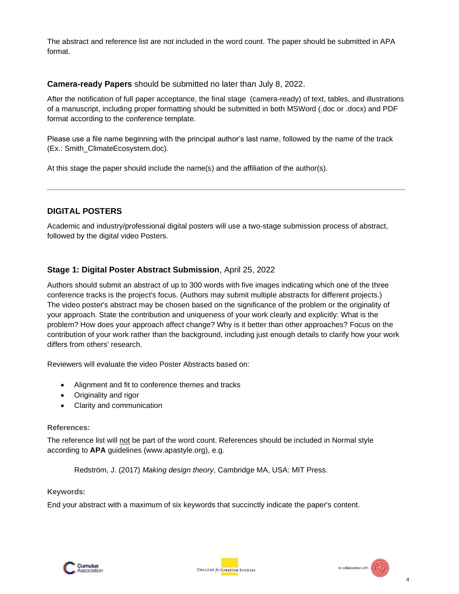The abstract and reference list are not included in the word count. The paper should be submitted in APA format.

#### **Camera-ready Papers** should be submitted no later than July 8, 2022.

After the notification of full paper acceptance, the final stage (camera-ready) of text, tables, and illustrations of a manuscript, including proper formatting should be submitted in both MSWord (.doc or .docx) and PDF format according to the conference template.

Please use a file name beginning with the principal author's last name, followed by the name of the track (Ex.: Smith\_ClimateEcosystem.doc).

At this stage the paper should include the name(s) and the affiliation of the author(s).

### **DIGITAL POSTERS**

Academic and industry/professional digital posters will use a two-stage submission process of abstract, followed by the digital video Posters.

#### **Stage 1: Digital Poster Abstract Submission**, April 25, 2022

Authors should submit an abstract of up to 300 words with five images indicating which one of the three conference tracks is the project's focus. (Authors may submit multiple abstracts for different projects.) The video poster's abstract may be chosen based on the significance of the problem or the originality of your approach. State the contribution and uniqueness of your work clearly and explicitly: What is the problem? How does your approach affect change? Why is it better than other approaches? Focus on the contribution of your work rather than the background, including just enough details to clarify how your work differs from others' research.

Reviewers will evaluate the video Poster Abstracts based on:

- Alignment and fit to conference themes and tracks
- Originality and rigor
- Clarity and communication

#### **References:**

The reference list will not be part of the word count. References should be included in Normal style according to **APA** guidelines (www.apastyle.org), e.g.

Redström, J. (2017) *Making design theory*, Cambridge MA, USA: MIT Press.

#### **Keywords:**

End your abstract with a maximum of six keywords that succinctly indicate the paper's content.

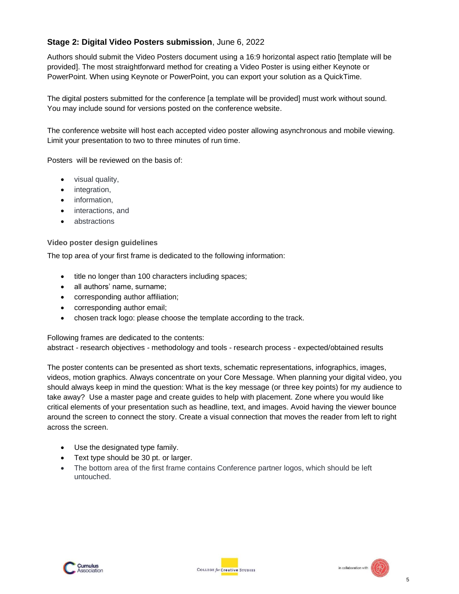# **Stage 2: Digital Video Posters submission**, June 6, 2022

Authors should submit the Video Posters document using a 16:9 horizontal aspect ratio [template will be provided]. The most straightforward method for creating a Video Poster is using either Keynote or PowerPoint. When using Keynote or PowerPoint, you can export your solution as a QuickTime.

The digital posters submitted for the conference [a template will be provided] must work without sound. You may include sound for versions posted on the conference website.

The conference website will host each accepted video poster allowing asynchronous and mobile viewing. Limit your presentation to two to three minutes of run time.

Posters will be reviewed on the basis of:

- visual quality,
- integration,
- information,
- interactions, and
- abstractions

#### **Video poster design guidelines**

The top area of your first frame is dedicated to the following information:

- title no longer than 100 characters including spaces;
- all authors' name, surname;
- corresponding author affiliation;
- corresponding author email;
- chosen track logo: please choose the template according to the track.

Following frames are dedicated to the contents:

abstract - research objectives - methodology and tools - research process - expected/obtained results

The poster contents can be presented as short texts, schematic representations, infographics, images, videos, motion graphics. Always concentrate on your Core Message. When planning your digital video, you should always keep in mind the question: What is the key message (or three key points) for my audience to take away? Use a master page and create guides to help with placement. Zone where you would like critical elements of your presentation such as headline, text, and images. Avoid having the viewer bounce around the screen to connect the story. Create a visual connection that moves the reader from left to right across the screen.

- Use the designated type family.
- Text type should be 30 pt. or larger.
- The bottom area of the first frame contains Conference partner logos, which should be left untouched.